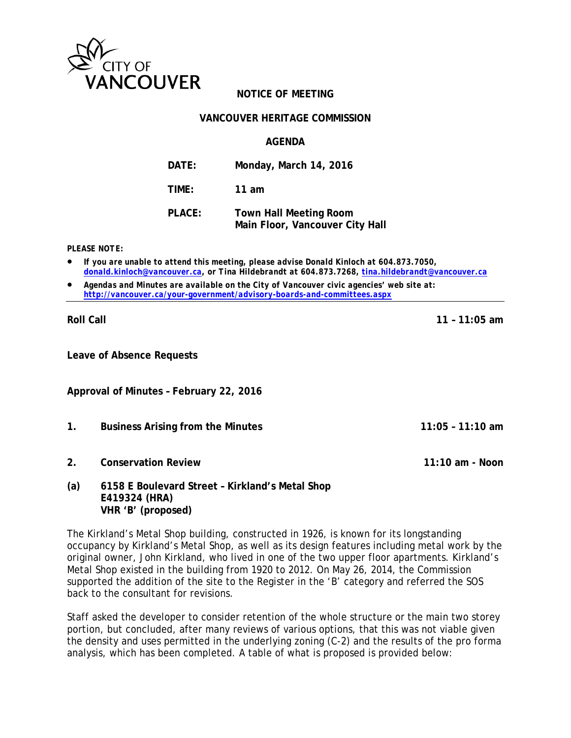

# **NOTICE OF MEETING**

#### **VANCOUVER HERITAGE COMMISSION**

## **AGENDA**

| DATE:         | Monday, March 14, 2016                                           |
|---------------|------------------------------------------------------------------|
| TIME:         | 11 am                                                            |
| <b>PLACE:</b> | <b>Town Hall Meeting Room</b><br>Main Floor, Vancouver City Hall |

*PLEASE NOTE:*

- *If you are unable to attend this meeting, please advise Donald Kinloch at 604.873.7050, [donald.kinloch@vancouver.ca,](mailto:donald.kinloch@vancouver.caT) or Tina Hildebrandt at 604.873.7268, [tina.hildebrandt@vancouver.ca](mailto:tina.hildebrandt@vancouver.ca)*
- *Agendas and Minutes are available on the City of Vancouver civic agencies' web site at: <http://vancouver.ca/your-government/advisory-boards-and-committees.aspx>*

**Roll Call 11 – 11:05 am**

**Leave of Absence Requests**

**Approval of Minutes – February 22, 2016**

- **1. Business Arising from the Minutes 11:05 11:10 am**
- **2. Conservation Review 11:10 am Noon**
- **(a) 6158 E Boulevard Street Kirkland's Metal Shop E419324 (HRA) VHR 'B' (proposed)**

The Kirkland's Metal Shop building, constructed in 1926, is known for its longstanding occupancy by Kirkland's Metal Shop, as well as its design features including metal work by the original owner, John Kirkland, who lived in one of the two upper floor apartments. Kirkland's Metal Shop existed in the building from 1920 to 2012. On May 26, 2014, the Commission supported the addition of the site to the Register in the 'B' category and referred the SOS back to the consultant for revisions.

Staff asked the developer to consider retention of the whole structure or the main two storey portion, but concluded, after many reviews of various options, that this was not viable given the density and uses permitted in the underlying zoning (C-2) and the results of the pro forma analysis, which has been completed. A table of what is proposed is provided below: